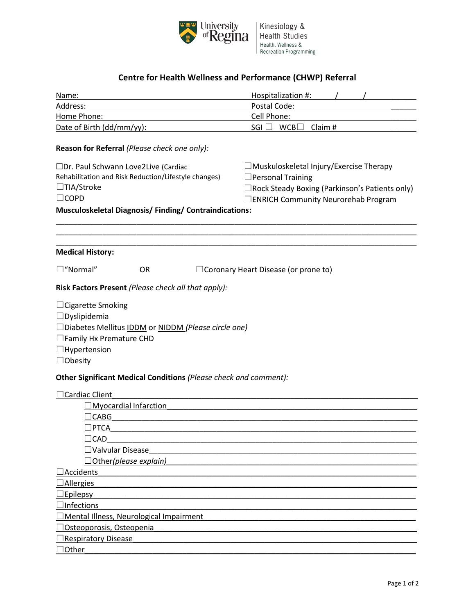

## **Centre for Health Wellness and Performance (CHWP) Referral**

| Name:                                                            | Hospitalization #:                               |  |  |  |  |  |  |
|------------------------------------------------------------------|--------------------------------------------------|--|--|--|--|--|--|
| Address:                                                         | Postal Code:                                     |  |  |  |  |  |  |
| Home Phone:                                                      | Cell Phone:                                      |  |  |  |  |  |  |
| Date of Birth (dd/mm/yy):                                        | $SGI \Box WCB \Box Claim #$                      |  |  |  |  |  |  |
|                                                                  |                                                  |  |  |  |  |  |  |
| Reason for Referral (Please check one only):                     |                                                  |  |  |  |  |  |  |
| □Dr. Paul Schwann Love2Live (Cardiac                             | $\Box$ Muskuloskeletal Injury/Exercise Therapy   |  |  |  |  |  |  |
| Rehabilitation and Risk Reduction/Lifestyle changes)             | $\Box$ Personal Training                         |  |  |  |  |  |  |
| □TIA/Stroke                                                      | □ Rock Steady Boxing (Parkinson's Patients only) |  |  |  |  |  |  |
| $\Box$ COPD                                                      | □ENRICH Community Neurorehab Program             |  |  |  |  |  |  |
| <b>Musculoskeletal Diagnosis/Finding/Contraindications:</b>      |                                                  |  |  |  |  |  |  |
|                                                                  |                                                  |  |  |  |  |  |  |
|                                                                  |                                                  |  |  |  |  |  |  |
| <b>Medical History:</b>                                          |                                                  |  |  |  |  |  |  |
| $\square$ "Normal"<br><b>OR</b>                                  | $\Box$ Coronary Heart Disease (or prone to)      |  |  |  |  |  |  |
| Risk Factors Present (Please check all that apply):              |                                                  |  |  |  |  |  |  |
| $\Box$ Cigarette Smoking                                         |                                                  |  |  |  |  |  |  |
| $\Box$ Dyslipidemia                                              |                                                  |  |  |  |  |  |  |
| □Diabetes Mellitus IDDM or NIDDM (Please circle one)             |                                                  |  |  |  |  |  |  |
| □ Family Hx Premature CHD                                        |                                                  |  |  |  |  |  |  |
| $\Box$ Hypertension                                              |                                                  |  |  |  |  |  |  |
| $\Box$ Obesity                                                   |                                                  |  |  |  |  |  |  |
| Other Significant Medical Conditions (Please check and comment): |                                                  |  |  |  |  |  |  |
| $\Box$ Cardiac Client                                            |                                                  |  |  |  |  |  |  |
| Myocardial Infarction                                            |                                                  |  |  |  |  |  |  |
| $\sqsupset$ CABG                                                 |                                                  |  |  |  |  |  |  |
| $\exists$ PTCA                                                   |                                                  |  |  |  |  |  |  |
| $\sqsupset$ CAD                                                  |                                                  |  |  |  |  |  |  |
| Valvular Disease                                                 |                                                  |  |  |  |  |  |  |
| Other(please explain)                                            |                                                  |  |  |  |  |  |  |
| Accidents                                                        |                                                  |  |  |  |  |  |  |
| Allergies                                                        |                                                  |  |  |  |  |  |  |
| <b>Epilepsy</b>                                                  |                                                  |  |  |  |  |  |  |
| $\Box$ Infections                                                |                                                  |  |  |  |  |  |  |
| Mental Illness, Neurological Impairment                          |                                                  |  |  |  |  |  |  |
| Osteoporosis, Osteopenia                                         |                                                  |  |  |  |  |  |  |
| <b>Respiratory Disease</b>                                       |                                                  |  |  |  |  |  |  |
| Other                                                            |                                                  |  |  |  |  |  |  |
|                                                                  |                                                  |  |  |  |  |  |  |